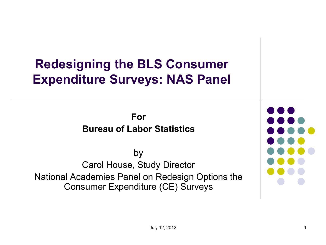#### **Redesigning the BLS Consumer Expenditure Surveys: NAS Panel**

**For Bureau of Labor Statistics** 

by Carol House, Study Director National Academies Panel on Redesign Options the Consumer Expenditure (CE) Surveys

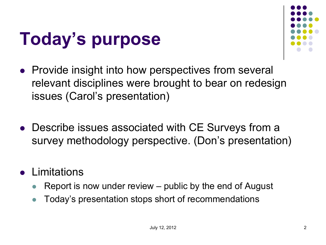## **Today's purpose**



- Provide insight into how perspectives from several relevant disciplines were brought to bear on redesign issues (Carol's presentation)
- Describe issues associated with CE Surveys from a survey methodology perspective. (Don's presentation)
- **•** Limitations
	- Report is now under review public by the end of August
	- Today's presentation stops short of recommendations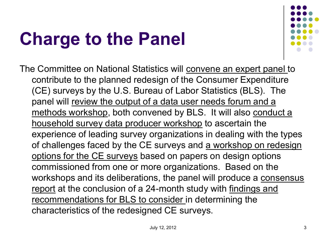# **Charge to the Panel**



The Committee on National Statistics will convene an expert panel to contribute to the planned redesign of the Consumer Expenditure (CE) surveys by the U.S. Bureau of Labor Statistics (BLS). The panel will review the output of a data user needs forum and a methods workshop, both convened by BLS. It will also conduct a household survey data producer workshop to ascertain the experience of leading survey organizations in dealing with the types of challenges faced by the CE surveys and a workshop on redesign options for the CE surveys based on papers on design options commissioned from one or more organizations. Based on the workshops and its deliberations, the panel will produce a consensus report at the conclusion of a 24-month study with findings and recommendations for BLS to consider in determining the characteristics of the redesigned CE surveys.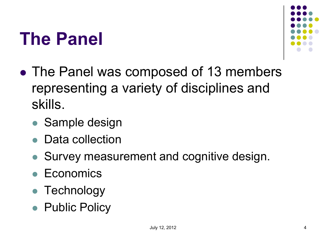#### **The Panel**



- The Panel was composed of 13 members representing a variety of disciplines and skills.
	- Sample design
	- Data collection
	- Survey measurement and cognitive design.
	- **Economics**
	- Technology
	- Public Policy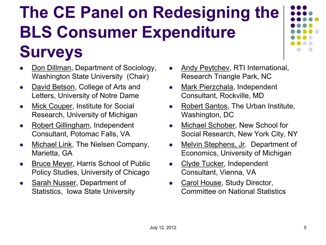#### **The CE Panel on Redesigning the BLS Consumer Expenditure**

#### **Surveys**

- Don Dillman, Department of Sociology, Washington State University (Chair)
- David Betson, College of Arts and Letters, University of Notre Dame
- Mick Couper, Institute for Social Research, University of Michigan
- Robert Gillingham, Independent Consultant, Potomac Falls, VA
- Michael Link, The Nielsen Company, Marietta, GA
- Bruce Meyer, Harris School of Public Policy Studies, University of Chicago
- Sarah Nusser, Department of Statistics, Iowa State University
- Andy Peytchev, RTI International, Research Triangle Park, NC
- Mark Pierzchala, Independent Consultant, Rockville, MD
- Robert Santos, The Urban Institute, Washington, DC
- Michael Schober, New School for Social Research, New York City, NY
- Melvin Stephens, Jr. Department of Economics, University of Michigan
- Clyde Tucker, Independent Consultant, Vienna, VA
- Carol House, Study Director, Committee on National Statistics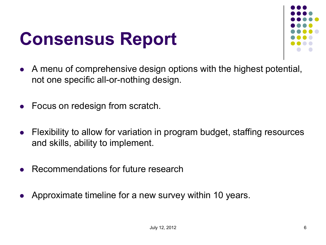#### **Consensus Report**



- A menu of comprehensive design options with the highest potential, not one specific all-or-nothing design.
- Focus on redesign from scratch.
- Flexibility to allow for variation in program budget, staffing resources and skills, ability to implement.
- Recommendations for future research
- Approximate timeline for a new survey within 10 years.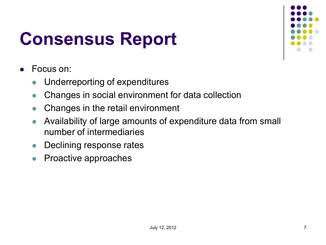## **Consensus Report**



- Focus on:
	- Underreporting of expenditures
	- Changes in social environment for data collection
	- Changes in the retail environment
	- Availability of large amounts of expenditure data from small number of intermediaries
	- Declining response rates
	- Proactive approaches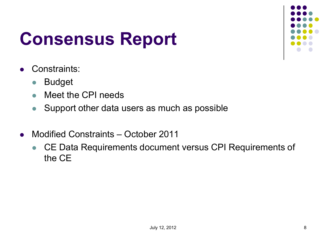### **Consensus Report**



- Constraints:
	- Budget
	- Meet the CPI needs
	- Support other data users as much as possible
- Modified Constraints October 2011
	- CE Data Requirements document versus CPI Requirements of the CE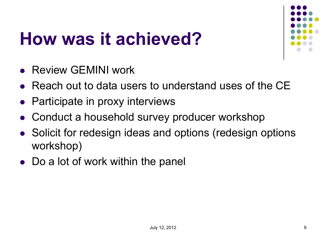### **How was it achieved?**



- Review GEMINI work
- Reach out to data users to understand uses of the CE
- Participate in proxy interviews
- Conduct a household survey producer workshop
- Solicit for redesign ideas and options (redesign options workshop)
- Do a lot of work within the panel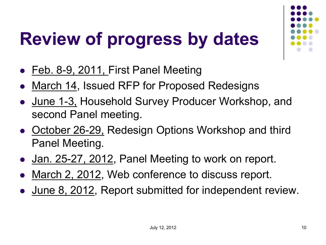# **Review of progress by dates**

- Feb. 8-9, 2011, First Panel Meeting
- March 14, Issued RFP for Proposed Redesigns
- June 1-3, Household Survey Producer Workshop, and second Panel meeting.
- October 26-29, Redesign Options Workshop and third Panel Meeting.
- Jan. 25-27, 2012, Panel Meeting to work on report.
- March 2, 2012, Web conference to discuss report.
- June 8, 2012, Report submitted for independent review.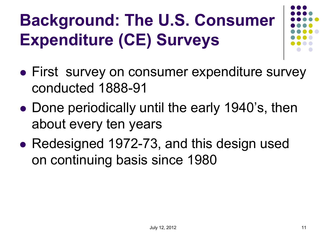## **Background: The U.S. Consumer Expenditure (CE) Surveys**

- **First survey on consumer expenditure survey** conducted 1888-91
- Done periodically until the early 1940's, then about every ten years
- Redesigned 1972-73, and this design used on continuing basis since 1980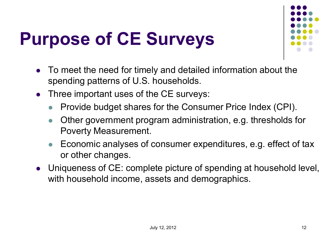# **Purpose of CE Surveys**



- To meet the need for timely and detailed information about the spending patterns of U.S. households.
- Three important uses of the CE surveys:
	- Provide budget shares for the Consumer Price Index (CPI).
	- Other government program administration, e.g. thresholds for Poverty Measurement.
	- Economic analyses of consumer expenditures, e.g. effect of tax or other changes.
- Uniqueness of CE: complete picture of spending at household level, with household income, assets and demographics.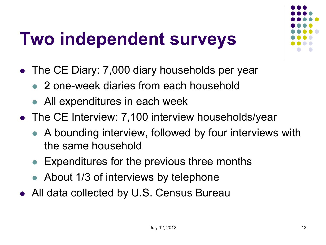#### **Two independent surveys**

- The CE Diary: 7,000 diary households per year
	- 2 one-week diaries from each household
	- All expenditures in each week
- The CE Interview: 7,100 interview households/year
	- A bounding interview, followed by four interviews with the same household
	- Expenditures for the previous three months
	- About 1/3 of interviews by telephone
- All data collected by U.S. Census Bureau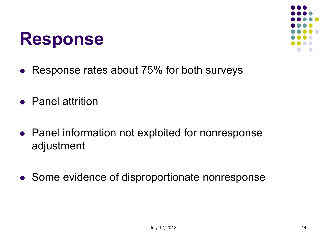#### **Response**



- Response rates about 75% for both surveys
- Panel attrition
- Panel information not exploited for nonresponse adjustment
- Some evidence of disproportionate nonresponse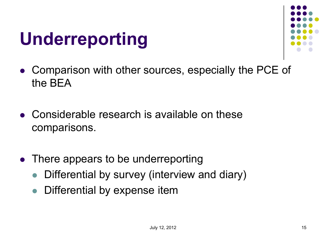#### **Underreporting**



- Comparison with other sources, especially the PCE of the BEA
- Considerable research is available on these comparisons.
- There appears to be underreporting
	- Differential by survey (interview and diary)
	- Differential by expense item